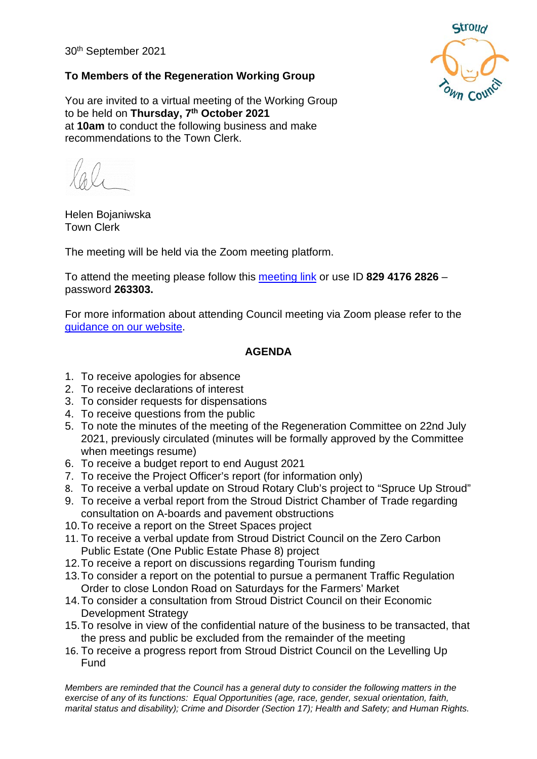30th September 2021



### **To Members of the Regeneration Working Group**

You are invited to a virtual meeting of the Working Group to be held on **Thursday, 7th October 2021** at **10am** to conduct the following business and make recommendations to the Town Clerk.

Helen Bojaniwska Town Clerk

The meeting will be held via the Zoom meeting platform.

To attend the meeting please follow this [meeting link](https://us02web.zoom.us/j/82941762826?pwd=dE9Fams0eFVWRlF0R2hkLzFUUHc5QT09) or use ID **829 4176 2826** – password **263303.**

For more information about attending Council meeting via Zoom please refer to the [guidance on our website.](https://www.stroudtown.gov.uk/uploads/taking-part-in-an-stc-zoom-meeting-april-2020.pdf)

### **AGENDA**

- 1. To receive apologies for absence
- 2. To receive declarations of interest
- 3. To consider requests for dispensations
- 4. To receive questions from the public
- 5. To note the minutes of the meeting of the Regeneration Committee on 22nd July 2021, previously circulated (minutes will be formally approved by the Committee when meetings resume)
- 6. To receive a budget report to end August 2021
- 7. To receive the Project Officer's report (for information only)
- 8. To receive a verbal update on Stroud Rotary Club's project to "Spruce Up Stroud"
- 9. To receive a verbal report from the Stroud District Chamber of Trade regarding consultation on A-boards and pavement obstructions
- 10.To receive a report on the Street Spaces project
- 11. To receive a verbal update from Stroud District Council on the Zero Carbon Public Estate (One Public Estate Phase 8) project
- 12.To receive a report on discussions regarding Tourism funding
- 13.To consider a report on the potential to pursue a permanent Traffic Regulation Order to close London Road on Saturdays for the Farmers' Market
- 14.To consider a consultation from Stroud District Council on their Economic Development Strategy
- 15.To resolve in view of the confidential nature of the business to be transacted, that the press and public be excluded from the remainder of the meeting
- 16. To receive a progress report from Stroud District Council on the Levelling Up Fund

*Members are reminded that the Council has a general duty to consider the following matters in the exercise of any of its functions: Equal Opportunities (age, race, gender, sexual orientation, faith, marital status and disability); Crime and Disorder (Section 17); Health and Safety; and Human Rights.*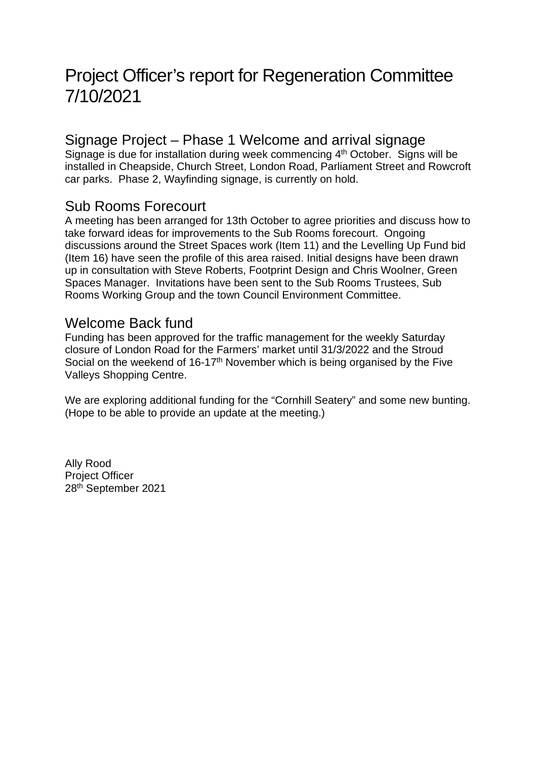# Project Officer's report for Regeneration Committee 7/10/2021

### Signage Project – Phase 1 Welcome and arrival signage

Signage is due for installation during week commencing 4<sup>th</sup> October. Signs will be installed in Cheapside, Church Street, London Road, Parliament Street and Rowcroft car parks. Phase 2, Wayfinding signage, is currently on hold.

### Sub Rooms Forecourt

A meeting has been arranged for 13th October to agree priorities and discuss how to take forward ideas for improvements to the Sub Rooms forecourt. Ongoing discussions around the Street Spaces work (Item 11) and the Levelling Up Fund bid (Item 16) have seen the profile of this area raised. Initial designs have been drawn up in consultation with Steve Roberts, Footprint Design and Chris Woolner, Green Spaces Manager. Invitations have been sent to the Sub Rooms Trustees, Sub Rooms Working Group and the town Council Environment Committee.

### Welcome Back fund

Funding has been approved for the traffic management for the weekly Saturday closure of London Road for the Farmers' market until 31/3/2022 and the Stroud Social on the weekend of 16-17<sup>th</sup> November which is being organised by the Five Valleys Shopping Centre.

We are exploring additional funding for the "Cornhill Seatery" and some new bunting. (Hope to be able to provide an update at the meeting.)

Ally Rood Project Officer 28th September 2021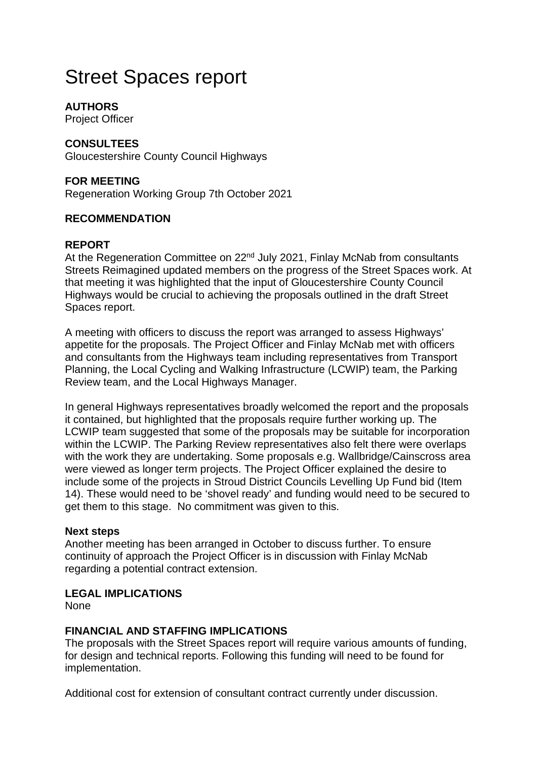# Street Spaces report

### **AUTHORS**

Project Officer

### **CONSULTEES**

Gloucestershire County Council Highways

### **FOR MEETING**

Regeneration Working Group 7th October 2021

### **RECOMMENDATION**

#### **REPORT**

At the Regeneration Committee on 22<sup>nd</sup> July 2021, Finlay McNab from consultants Streets Reimagined updated members on the progress of the Street Spaces work. At that meeting it was highlighted that the input of Gloucestershire County Council Highways would be crucial to achieving the proposals outlined in the draft Street Spaces report.

A meeting with officers to discuss the report was arranged to assess Highways' appetite for the proposals. The Project Officer and Finlay McNab met with officers and consultants from the Highways team including representatives from Transport Planning, the Local Cycling and Walking Infrastructure (LCWIP) team, the Parking Review team, and the Local Highways Manager.

In general Highways representatives broadly welcomed the report and the proposals it contained, but highlighted that the proposals require further working up. The LCWIP team suggested that some of the proposals may be suitable for incorporation within the LCWIP. The Parking Review representatives also felt there were overlaps with the work they are undertaking. Some proposals e.g. Wallbridge/Cainscross area were viewed as longer term projects. The Project Officer explained the desire to include some of the projects in Stroud District Councils Levelling Up Fund bid (Item 14). These would need to be 'shovel ready' and funding would need to be secured to get them to this stage. No commitment was given to this.

#### **Next steps**

Another meeting has been arranged in October to discuss further. To ensure continuity of approach the Project Officer is in discussion with Finlay McNab regarding a potential contract extension.

#### **LEGAL IMPLICATIONS**

None

#### **FINANCIAL AND STAFFING IMPLICATIONS**

The proposals with the Street Spaces report will require various amounts of funding, for design and technical reports. Following this funding will need to be found for implementation.

Additional cost for extension of consultant contract currently under discussion.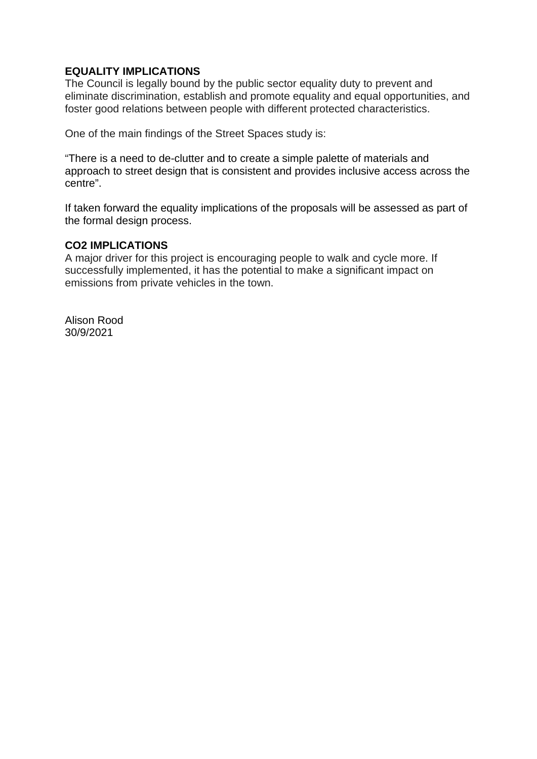### **EQUALITY IMPLICATIONS**

The Council is legally bound by the public sector equality duty to prevent and eliminate discrimination, establish and promote equality and equal opportunities, and foster good relations between people with different protected characteristics.

One of the main findings of the Street Spaces study is:

"There is a need to de-clutter and to create a simple palette of materials and approach to street design that is consistent and provides inclusive access across the centre".

If taken forward the equality implications of the proposals will be assessed as part of the formal design process.

#### **CO2 IMPLICATIONS**

A major driver for this project is encouraging people to walk and cycle more. If successfully implemented, it has the potential to make a significant impact on emissions from private vehicles in the town.

Alison Rood 30/9/2021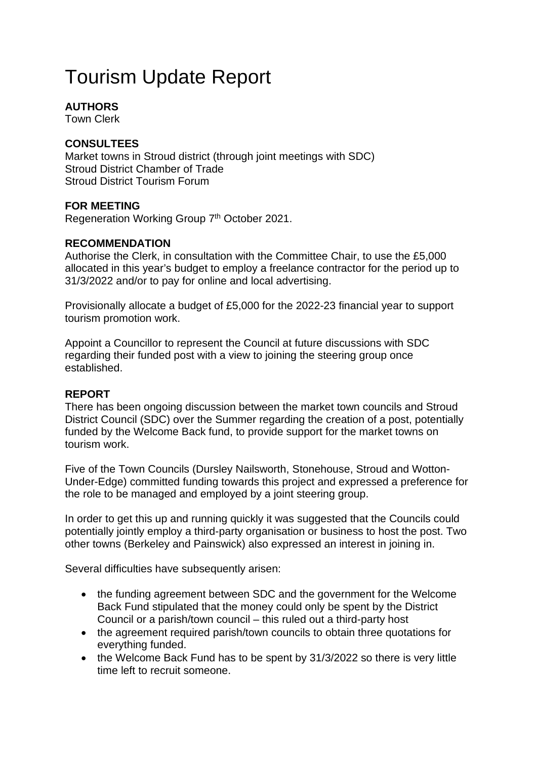# Tourism Update Report

### **AUTHORS**

Town Clerk

### **CONSULTEES**

Market towns in Stroud district (through joint meetings with SDC) Stroud District Chamber of Trade Stroud District Tourism Forum

### **FOR MEETING**

Regeneration Working Group 7<sup>th</sup> October 2021.

### **RECOMMENDATION**

Authorise the Clerk, in consultation with the Committee Chair, to use the £5,000 allocated in this year's budget to employ a freelance contractor for the period up to 31/3/2022 and/or to pay for online and local advertising.

Provisionally allocate a budget of £5,000 for the 2022-23 financial year to support tourism promotion work.

Appoint a Councillor to represent the Council at future discussions with SDC regarding their funded post with a view to joining the steering group once established.

### **REPORT**

There has been ongoing discussion between the market town councils and Stroud District Council (SDC) over the Summer regarding the creation of a post, potentially funded by the Welcome Back fund, to provide support for the market towns on tourism work.

Five of the Town Councils (Dursley Nailsworth, Stonehouse, Stroud and Wotton-Under-Edge) committed funding towards this project and expressed a preference for the role to be managed and employed by a joint steering group.

In order to get this up and running quickly it was suggested that the Councils could potentially jointly employ a third-party organisation or business to host the post. Two other towns (Berkeley and Painswick) also expressed an interest in joining in.

Several difficulties have subsequently arisen:

- the funding agreement between SDC and the government for the Welcome Back Fund stipulated that the money could only be spent by the District Council or a parish/town council – this ruled out a third-party host
- the agreement required parish/town councils to obtain three quotations for everything funded.
- the Welcome Back Fund has to be spent by 31/3/2022 so there is very little time left to recruit someone.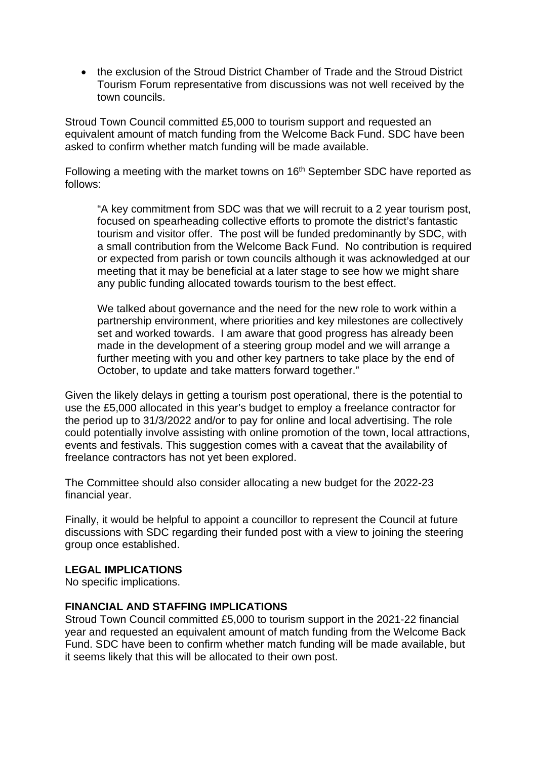• the exclusion of the Stroud District Chamber of Trade and the Stroud District Tourism Forum representative from discussions was not well received by the town councils.

Stroud Town Council committed £5,000 to tourism support and requested an equivalent amount of match funding from the Welcome Back Fund. SDC have been asked to confirm whether match funding will be made available.

Following a meeting with the market towns on 16<sup>th</sup> September SDC have reported as follows:

"A key commitment from SDC was that we will recruit to a 2 year tourism post, focused on spearheading collective efforts to promote the district's fantastic tourism and visitor offer. The post will be funded predominantly by SDC, with a small contribution from the Welcome Back Fund. No contribution is required or expected from parish or town councils although it was acknowledged at our meeting that it may be beneficial at a later stage to see how we might share any public funding allocated towards tourism to the best effect.

We talked about governance and the need for the new role to work within a partnership environment, where priorities and key milestones are collectively set and worked towards. I am aware that good progress has already been made in the development of a steering group model and we will arrange a further meeting with you and other key partners to take place by the end of October, to update and take matters forward together."

Given the likely delays in getting a tourism post operational, there is the potential to use the £5,000 allocated in this year's budget to employ a freelance contractor for the period up to 31/3/2022 and/or to pay for online and local advertising. The role could potentially involve assisting with online promotion of the town, local attractions, events and festivals. This suggestion comes with a caveat that the availability of freelance contractors has not yet been explored.

The Committee should also consider allocating a new budget for the 2022-23 financial year.

Finally, it would be helpful to appoint a councillor to represent the Council at future discussions with SDC regarding their funded post with a view to joining the steering group once established.

#### **LEGAL IMPLICATIONS**

No specific implications.

### **FINANCIAL AND STAFFING IMPLICATIONS**

Stroud Town Council committed £5,000 to tourism support in the 2021-22 financial year and requested an equivalent amount of match funding from the Welcome Back Fund. SDC have been to confirm whether match funding will be made available, but it seems likely that this will be allocated to their own post.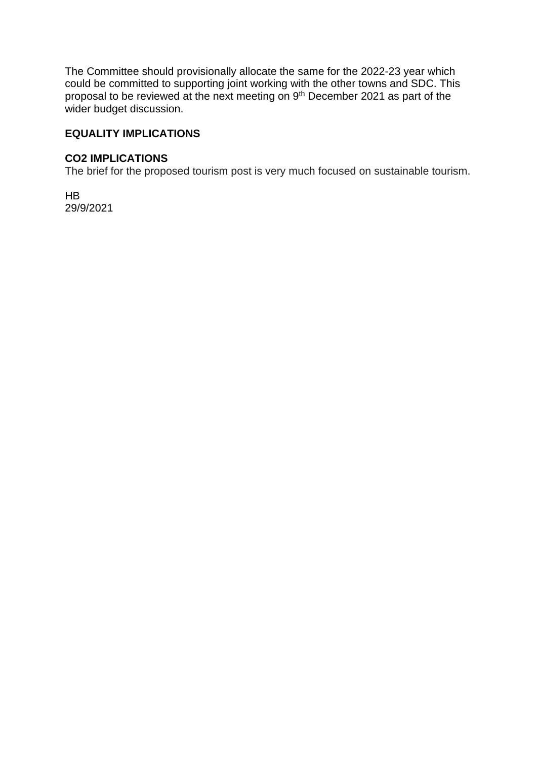The Committee should provisionally allocate the same for the 2022-23 year which could be committed to supporting joint working with the other towns and SDC. This proposal to be reviewed at the next meeting on 9th December 2021 as part of the wider budget discussion.

### **EQUALITY IMPLICATIONS**

#### **CO2 IMPLICATIONS**

The brief for the proposed tourism post is very much focused on sustainable tourism.

HB 29/9/2021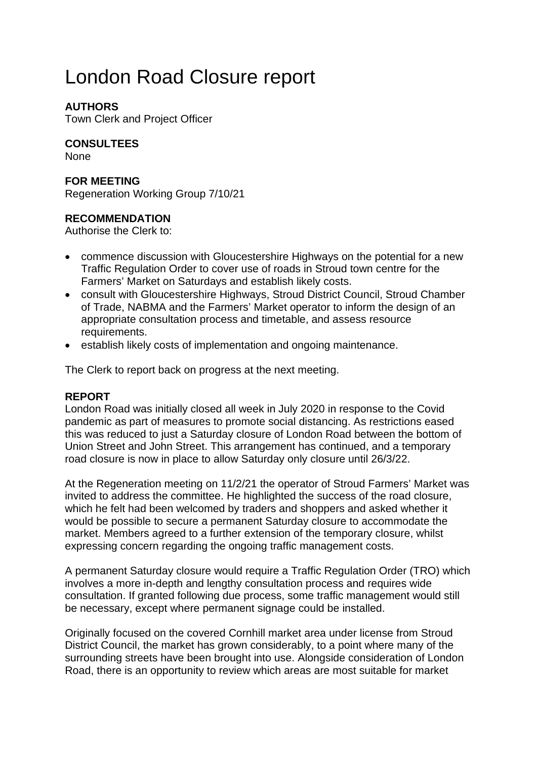# London Road Closure report

### **AUTHORS**

Town Clerk and Project Officer

### **CONSULTEES**

**None** 

### **FOR MEETING**

Regeneration Working Group 7/10/21

### **RECOMMENDATION**

Authorise the Clerk to:

- commence discussion with Gloucestershire Highways on the potential for a new Traffic Regulation Order to cover use of roads in Stroud town centre for the Farmers' Market on Saturdays and establish likely costs.
- consult with Gloucestershire Highways, Stroud District Council, Stroud Chamber of Trade, NABMA and the Farmers' Market operator to inform the design of an appropriate consultation process and timetable, and assess resource requirements.
- establish likely costs of implementation and ongoing maintenance.

The Clerk to report back on progress at the next meeting.

#### **REPORT**

London Road was initially closed all week in July 2020 in response to the Covid pandemic as part of measures to promote social distancing. As restrictions eased this was reduced to just a Saturday closure of London Road between the bottom of Union Street and John Street. This arrangement has continued, and a temporary road closure is now in place to allow Saturday only closure until 26/3/22.

At the Regeneration meeting on 11/2/21 the operator of Stroud Farmers' Market was invited to address the committee. He highlighted the success of the road closure, which he felt had been welcomed by traders and shoppers and asked whether it would be possible to secure a permanent Saturday closure to accommodate the market. Members agreed to a further extension of the temporary closure, whilst expressing concern regarding the ongoing traffic management costs.

A permanent Saturday closure would require a Traffic Regulation Order (TRO) which involves a more in-depth and lengthy consultation process and requires wide consultation. If granted following due process, some traffic management would still be necessary, except where permanent signage could be installed.

Originally focused on the covered Cornhill market area under license from Stroud District Council, the market has grown considerably, to a point where many of the surrounding streets have been brought into use. Alongside consideration of London Road, there is an opportunity to review which areas are most suitable for market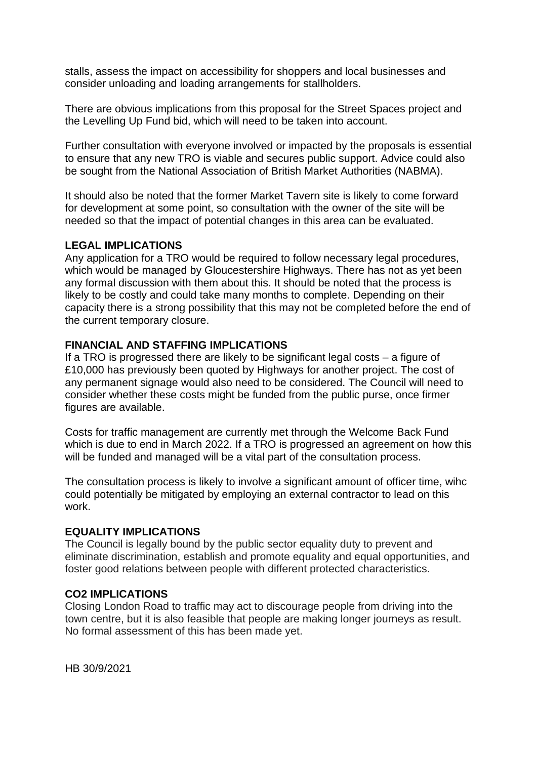stalls, assess the impact on accessibility for shoppers and local businesses and consider unloading and loading arrangements for stallholders.

There are obvious implications from this proposal for the Street Spaces project and the Levelling Up Fund bid, which will need to be taken into account.

Further consultation with everyone involved or impacted by the proposals is essential to ensure that any new TRO is viable and secures public support. Advice could also be sought from the National Association of British Market Authorities (NABMA).

It should also be noted that the former Market Tavern site is likely to come forward for development at some point, so consultation with the owner of the site will be needed so that the impact of potential changes in this area can be evaluated.

#### **LEGAL IMPLICATIONS**

Any application for a TRO would be required to follow necessary legal procedures, which would be managed by Gloucestershire Highways. There has not as yet been any formal discussion with them about this. It should be noted that the process is likely to be costly and could take many months to complete. Depending on their capacity there is a strong possibility that this may not be completed before the end of the current temporary closure.

#### **FINANCIAL AND STAFFING IMPLICATIONS**

If a TRO is progressed there are likely to be significant legal costs – a figure of £10,000 has previously been quoted by Highways for another project. The cost of any permanent signage would also need to be considered. The Council will need to consider whether these costs might be funded from the public purse, once firmer figures are available.

Costs for traffic management are currently met through the Welcome Back Fund which is due to end in March 2022. If a TRO is progressed an agreement on how this will be funded and managed will be a vital part of the consultation process.

The consultation process is likely to involve a significant amount of officer time, wihc could potentially be mitigated by employing an external contractor to lead on this work.

#### **EQUALITY IMPLICATIONS**

The Council is legally bound by the public sector equality duty to prevent and eliminate discrimination, establish and promote equality and equal opportunities, and foster good relations between people with different protected characteristics.

#### **CO2 IMPLICATIONS**

Closing London Road to traffic may act to discourage people from driving into the town centre, but it is also feasible that people are making longer journeys as result. No formal assessment of this has been made yet.

HB 30/9/2021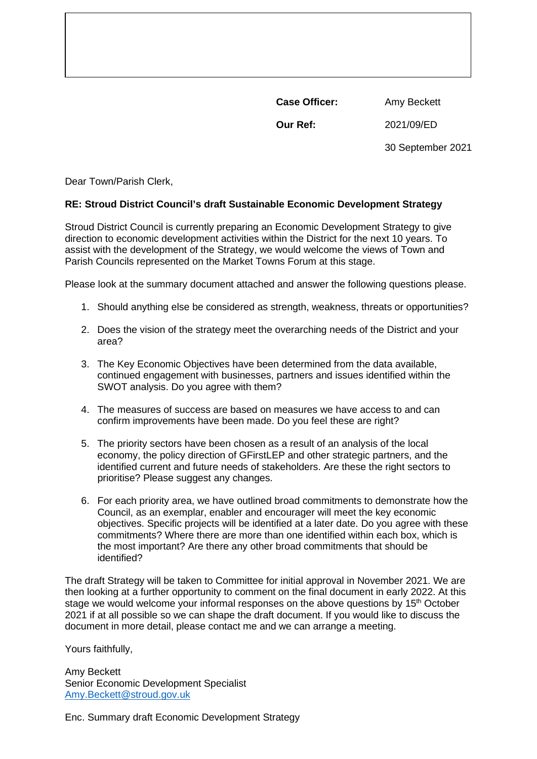**Case Officer:** Amy Beckett

**Our Ref:** 2021/09/ED

30 September 2021

Dear Town/Parish Clerk,

#### **RE: Stroud District Council's draft Sustainable Economic Development Strategy**

Stroud District Council is currently preparing an Economic Development Strategy to give direction to economic development activities within the District for the next 10 years. To assist with the development of the Strategy, we would welcome the views of Town and Parish Councils represented on the Market Towns Forum at this stage.

Please look at the summary document attached and answer the following questions please.

- 1. Should anything else be considered as strength, weakness, threats or opportunities?
- 2. Does the vision of the strategy meet the overarching needs of the District and your area?
- 3. The Key Economic Objectives have been determined from the data available, continued engagement with businesses, partners and issues identified within the SWOT analysis. Do you agree with them?
- 4. The measures of success are based on measures we have access to and can confirm improvements have been made. Do you feel these are right?
- 5. The priority sectors have been chosen as a result of an analysis of the local economy, the policy direction of GFirstLEP and other strategic partners, and the identified current and future needs of stakeholders. Are these the right sectors to prioritise? Please suggest any changes.
- 6. For each priority area, we have outlined broad commitments to demonstrate how the Council, as an exemplar, enabler and encourager will meet the key economic objectives. Specific projects will be identified at a later date. Do you agree with these commitments? Where there are more than one identified within each box, which is the most important? Are there any other broad commitments that should be identified?

The draft Strategy will be taken to Committee for initial approval in November 2021. We are then looking at a further opportunity to comment on the final document in early 2022. At this stage we would welcome your informal responses on the above questions by 15<sup>th</sup> October 2021 if at all possible so we can shape the draft document. If you would like to discuss the document in more detail, please contact me and we can arrange a meeting.

Yours faithfully,

Amy Beckett Senior Economic Development Specialist [Amy.Beckett@stroud.gov.uk](mailto:Amy.Beckett@stroud.gov.uk)

Enc. Summary draft Economic Development Strategy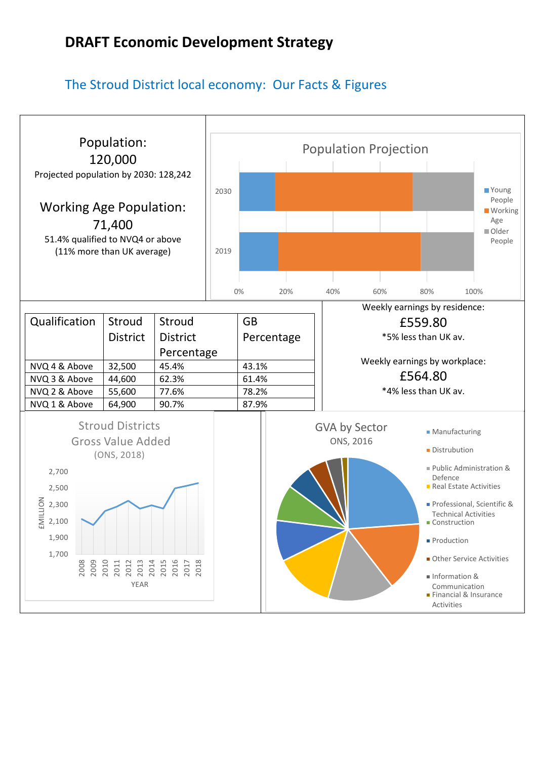### The Stroud District local economy: Our Facts & Figures

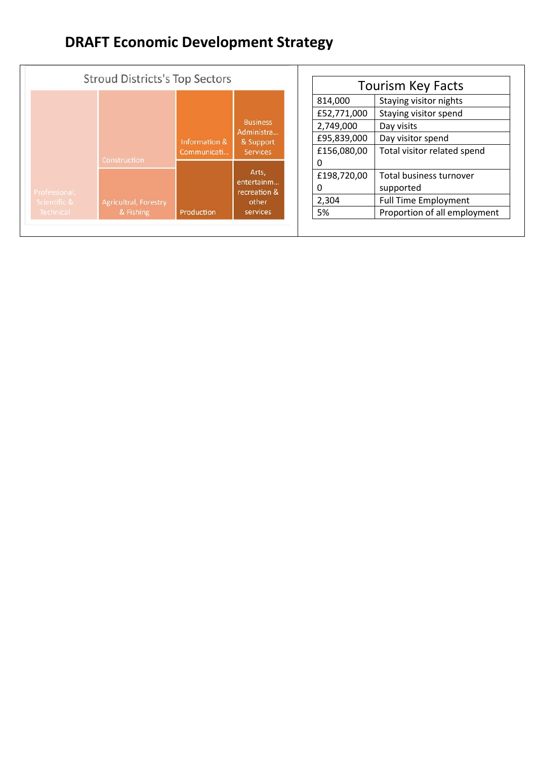|                                            | <b>Stroud Districts's Top Sectors</b>                            |                              |                                                               |                                         | <b>Tourism Key Facts</b>                                                                            |
|--------------------------------------------|------------------------------------------------------------------|------------------------------|---------------------------------------------------------------|-----------------------------------------|-----------------------------------------------------------------------------------------------------|
| Professional,<br>Scientific &<br>Technical |                                                                  |                              | <b>Business</b><br>Administra<br>& Support<br><b>Services</b> | 814,000<br>£52,771,000                  | Staying visitor nights<br>Staying visitor spend                                                     |
|                                            |                                                                  | Information &<br>Communicati |                                                               | 2,749,000<br>£95,839,000<br>£156,080,00 | Day visits<br>Day visitor spend<br>Total visitor related spend                                      |
|                                            | <b>Construction</b><br><b>Agricultral, Forestry</b><br>& Fishing | Production                   | Arts,<br>entertainm<br>recreation &<br>other<br>services      | 0<br>£198,720,00<br>0<br>2,304<br>5%    | Total business turnover<br>supported<br><b>Full Time Employment</b><br>Proportion of all employment |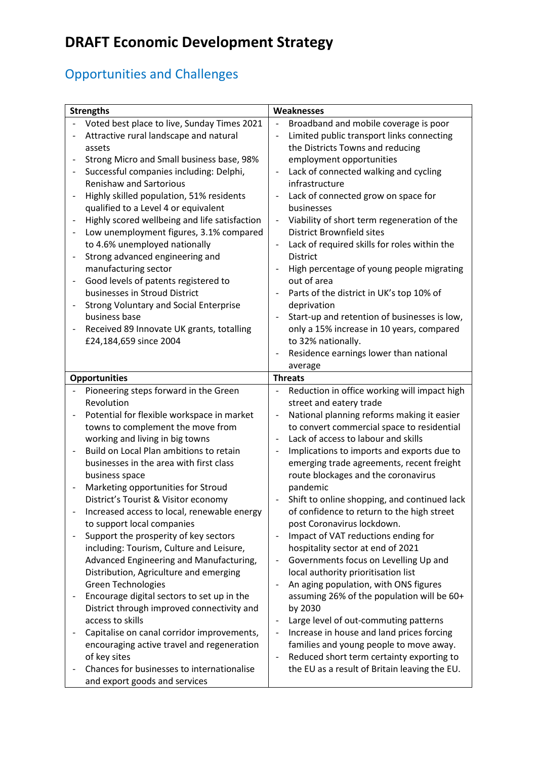## Opportunities and Challenges

| Broadband and mobile coverage is poor<br>Limited public transport links connecting<br>Lack of connected walking and cycling<br>Viability of short term regeneration of the |
|----------------------------------------------------------------------------------------------------------------------------------------------------------------------------|
|                                                                                                                                                                            |
|                                                                                                                                                                            |
|                                                                                                                                                                            |
|                                                                                                                                                                            |
|                                                                                                                                                                            |
|                                                                                                                                                                            |
|                                                                                                                                                                            |
|                                                                                                                                                                            |
|                                                                                                                                                                            |
|                                                                                                                                                                            |
| Lack of required skills for roles within the                                                                                                                               |
|                                                                                                                                                                            |
| High percentage of young people migrating                                                                                                                                  |
|                                                                                                                                                                            |
| Parts of the district in UK's top 10% of                                                                                                                                   |
|                                                                                                                                                                            |
| Start-up and retention of businesses is low,                                                                                                                               |
| only a 15% increase in 10 years, compared                                                                                                                                  |
|                                                                                                                                                                            |
| Residence earnings lower than national                                                                                                                                     |
|                                                                                                                                                                            |
|                                                                                                                                                                            |
| Reduction in office working will impact high                                                                                                                               |
|                                                                                                                                                                            |
| National planning reforms making it easier                                                                                                                                 |
| to convert commercial space to residential                                                                                                                                 |
|                                                                                                                                                                            |
| Implications to imports and exports due to                                                                                                                                 |
| emerging trade agreements, recent freight                                                                                                                                  |
|                                                                                                                                                                            |
|                                                                                                                                                                            |
| Shift to online shopping, and continued lack                                                                                                                               |
| of confidence to return to the high street                                                                                                                                 |
|                                                                                                                                                                            |
|                                                                                                                                                                            |
|                                                                                                                                                                            |
| Governments focus on Levelling Up and                                                                                                                                      |
|                                                                                                                                                                            |
| An aging population, with ONS figures                                                                                                                                      |
| assuming 26% of the population will be 60+                                                                                                                                 |
|                                                                                                                                                                            |
| Large level of out-commuting patterns                                                                                                                                      |
| Increase in house and land prices forcing                                                                                                                                  |
| families and young people to move away.                                                                                                                                    |
| Reduced short term certainty exporting to                                                                                                                                  |
| the EU as a result of Britain leaving the EU.                                                                                                                              |
|                                                                                                                                                                            |
|                                                                                                                                                                            |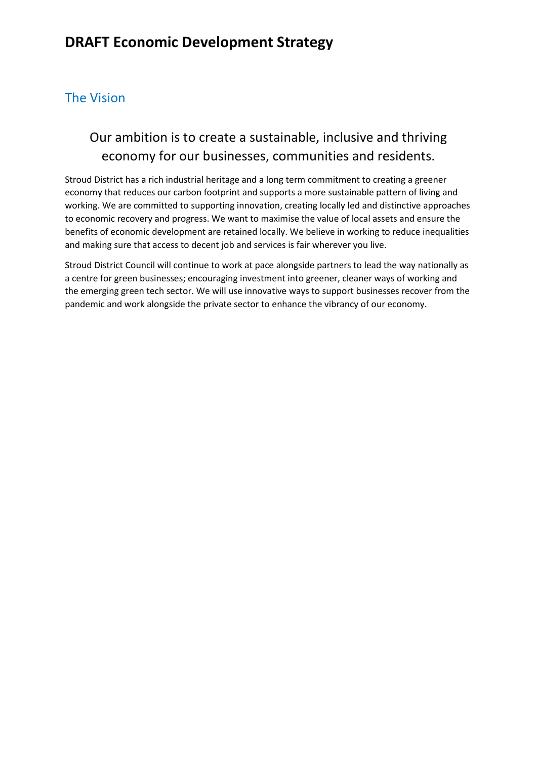### The Vision

## Our ambition is to create a sustainable, inclusive and thriving economy for our businesses, communities and residents.

Stroud District has a rich industrial heritage and a long term commitment to creating a greener economy that reduces our carbon footprint and supports a more sustainable pattern of living and working. We are committed to supporting innovation, creating locally led and distinctive approaches to economic recovery and progress. We want to maximise the value of local assets and ensure the benefits of economic development are retained locally. We believe in working to reduce inequalities and making sure that access to decent job and services is fair wherever you live.

Stroud District Council will continue to work at pace alongside partners to lead the way nationally as a centre for green businesses; encouraging investment into greener, cleaner ways of working and the emerging green tech sector. We will use innovative ways to support businesses recover from the pandemic and work alongside the private sector to enhance the vibrancy of our economy.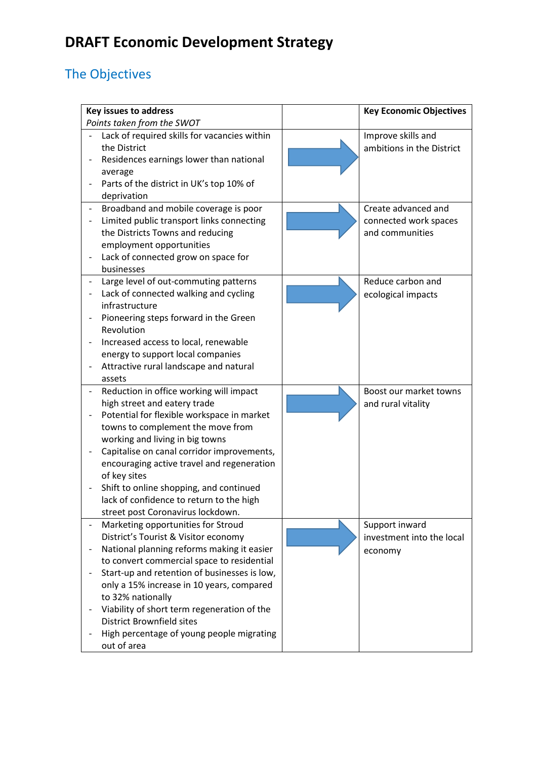## The Objectives

| <b>Key issues to address</b>                 | <b>Key Economic Objectives</b> |
|----------------------------------------------|--------------------------------|
| Points taken from the SWOT                   |                                |
| Lack of required skills for vacancies within | Improve skills and             |
| the District                                 | ambitions in the District      |
| Residences earnings lower than national      |                                |
| average                                      |                                |
| Parts of the district in UK's top 10% of     |                                |
| deprivation                                  |                                |
| Broadband and mobile coverage is poor        | Create advanced and            |
| Limited public transport links connecting    | connected work spaces          |
| the Districts Towns and reducing             | and communities                |
| employment opportunities                     |                                |
| Lack of connected grow on space for          |                                |
| businesses                                   |                                |
| Large level of out-commuting patterns        | Reduce carbon and              |
| Lack of connected walking and cycling        | ecological impacts             |
| infrastructure                               |                                |
| Pioneering steps forward in the Green        |                                |
| Revolution                                   |                                |
| Increased access to local, renewable         |                                |
| energy to support local companies            |                                |
| Attractive rural landscape and natural       |                                |
| assets                                       |                                |
| Reduction in office working will impact      | Boost our market towns         |
| high street and eatery trade                 | and rural vitality             |
| Potential for flexible workspace in market   |                                |
| towns to complement the move from            |                                |
| working and living in big towns              |                                |
| Capitalise on canal corridor improvements,   |                                |
| encouraging active travel and regeneration   |                                |
| of key sites                                 |                                |
| Shift to online shopping, and continued      |                                |
| lack of confidence to return to the high     |                                |
| street post Coronavirus lockdown.            |                                |
| Marketing opportunities for Stroud           | Support inward                 |
| District's Tourist & Visitor economy         | investment into the local      |
| National planning reforms making it easier   | economy                        |
| to convert commercial space to residential   |                                |
| Start-up and retention of businesses is low, |                                |
| only a 15% increase in 10 years, compared    |                                |
| to 32% nationally                            |                                |
| Viability of short term regeneration of the  |                                |
| <b>District Brownfield sites</b>             |                                |
| High percentage of young people migrating    |                                |
| out of area                                  |                                |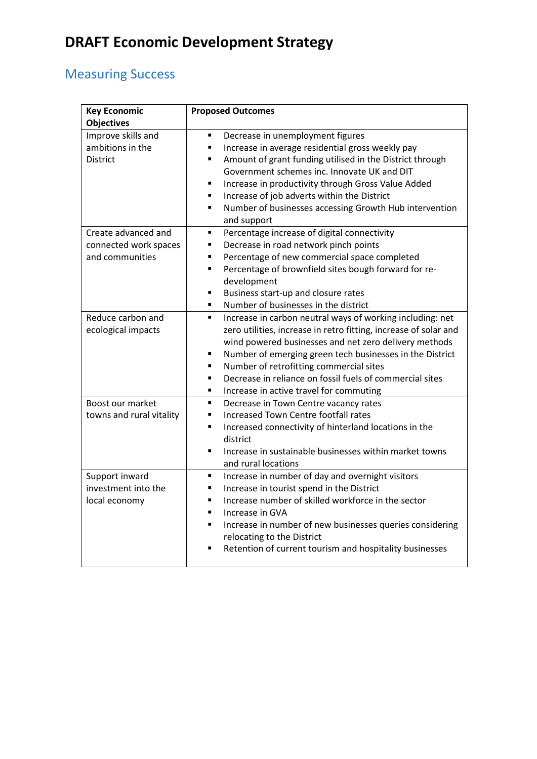## Measuring Success

| <b>Key Economic</b><br><b>Objectives</b>                        | <b>Proposed Outcomes</b>                                                                                                                                                                                                                                                                                                                                                                                                                                |
|-----------------------------------------------------------------|---------------------------------------------------------------------------------------------------------------------------------------------------------------------------------------------------------------------------------------------------------------------------------------------------------------------------------------------------------------------------------------------------------------------------------------------------------|
| Improve skills and<br>ambitions in the<br><b>District</b>       | Decrease in unemployment figures<br>Ξ<br>Increase in average residential gross weekly pay<br>Amount of grant funding utilised in the District through<br>Government schemes inc. Innovate UK and DIT<br>Increase in productivity through Gross Value Added<br>Increase of job adverts within the District<br>$\blacksquare$                                                                                                                             |
|                                                                 | Number of businesses accessing Growth Hub intervention<br>and support                                                                                                                                                                                                                                                                                                                                                                                   |
| Create advanced and<br>connected work spaces<br>and communities | Percentage increase of digital connectivity<br>٠<br>Decrease in road network pinch points<br>٠<br>Percentage of new commercial space completed<br>$\blacksquare$<br>Percentage of brownfield sites bough forward for re-<br>$\blacksquare$<br>development<br>Business start-up and closure rates<br>٠<br>Number of businesses in the district<br>٠                                                                                                      |
| Reduce carbon and<br>ecological impacts                         | Increase in carbon neutral ways of working including: net<br>$\blacksquare$<br>zero utilities, increase in retro fitting, increase of solar and<br>wind powered businesses and net zero delivery methods<br>Number of emerging green tech businesses in the District<br>$\blacksquare$<br>Number of retrofitting commercial sites<br>Ξ<br>Decrease in reliance on fossil fuels of commercial sites<br>п<br>Increase in active travel for commuting<br>٠ |
| Boost our market<br>towns and rural vitality                    | Decrease in Town Centre vacancy rates<br>п<br><b>Increased Town Centre footfall rates</b><br>Increased connectivity of hinterland locations in the<br>$\blacksquare$<br>district<br>Increase in sustainable businesses within market towns<br>$\blacksquare$<br>and rural locations                                                                                                                                                                     |
| Support inward<br>investment into the<br>local economy          | Increase in number of day and overnight visitors<br>Ξ<br>Increase in tourist spend in the District<br>Increase number of skilled workforce in the sector<br>$\blacksquare$<br>Increase in GVA<br>$\blacksquare$<br>Increase in number of new businesses queries considering<br>Ξ<br>relocating to the District<br>Retention of current tourism and hospitality businesses                                                                               |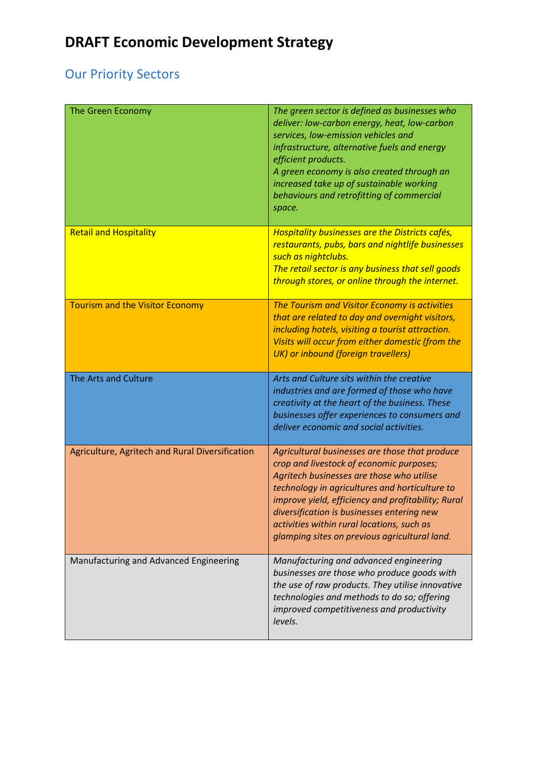## Our Priority Sectors

| The Green Economy                               | The green sector is defined as businesses who<br>deliver: low-carbon energy, heat, low-carbon<br>services, low-emission vehicles and<br>infrastructure, alternative fuels and energy<br>efficient products.<br>A green economy is also created through an<br>increased take up of sustainable working<br>behaviours and retrofitting of commercial<br>space.                                 |
|-------------------------------------------------|----------------------------------------------------------------------------------------------------------------------------------------------------------------------------------------------------------------------------------------------------------------------------------------------------------------------------------------------------------------------------------------------|
| <b>Retail and Hospitality</b>                   | <b>Hospitality businesses are the Districts cafés,</b><br>restaurants, pubs, bars and nightlife businesses<br>such as nightclubs.<br>The retail sector is any business that sell goods<br>through stores, or online through the internet.                                                                                                                                                    |
| <b>Tourism and the Visitor Economy</b>          | The Tourism and Visitor Economy is activities<br>that are related to day and overnight visitors,<br>including hotels, visiting a tourist attraction.<br>Visits will occur from either domestic (from the<br>UK) or inbound (foreign travellers)                                                                                                                                              |
| The Arts and Culture                            | Arts and Culture sits within the creative<br>industries and are formed of those who have<br>creativity at the heart of the business. These<br>businesses offer experiences to consumers and<br>deliver economic and social activities.                                                                                                                                                       |
| Agriculture, Agritech and Rural Diversification | Agricultural businesses are those that produce<br>crop and livestock of economic purposes;<br>Agritech businesses are those who utilise<br>technology in agricultures and horticulture to<br>improve yield, efficiency and profitability; Rural<br>diversification is businesses entering new<br>activities within rural locations, such as<br>glamping sites on previous agricultural land. |
| Manufacturing and Advanced Engineering          | Manufacturing and advanced engineering<br>businesses are those who produce goods with<br>the use of raw products. They utilise innovative<br>technologies and methods to do so; offering<br>improved competitiveness and productivity<br>levels.                                                                                                                                             |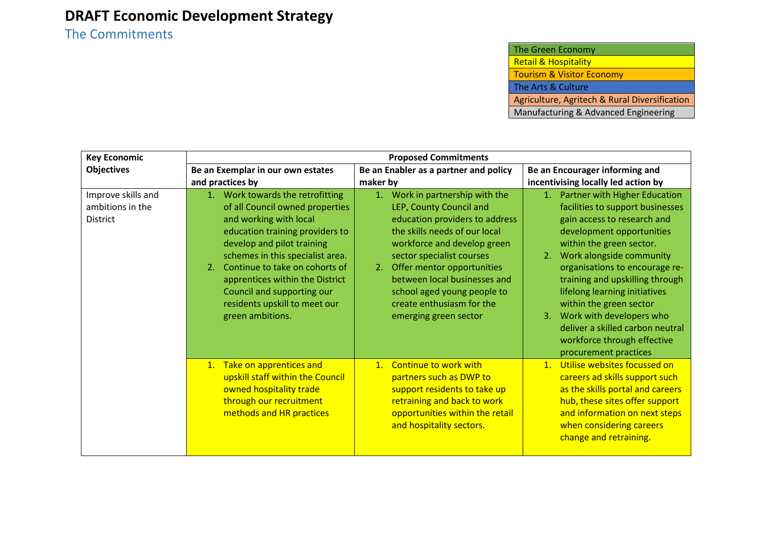The Commitments

| <b>Key Economic</b>                                       | <b>Proposed Commitments</b>                                                                                                                                                                                                                                                                                                                                      |                                                                                                                                                                                                                                                                                                                                                    |                                                                                                                                                                                                                                                                                                                                                                                                                                                            |  |  |
|-----------------------------------------------------------|------------------------------------------------------------------------------------------------------------------------------------------------------------------------------------------------------------------------------------------------------------------------------------------------------------------------------------------------------------------|----------------------------------------------------------------------------------------------------------------------------------------------------------------------------------------------------------------------------------------------------------------------------------------------------------------------------------------------------|------------------------------------------------------------------------------------------------------------------------------------------------------------------------------------------------------------------------------------------------------------------------------------------------------------------------------------------------------------------------------------------------------------------------------------------------------------|--|--|
| <b>Objectives</b>                                         | Be an Exemplar in our own estates                                                                                                                                                                                                                                                                                                                                | Be an Enabler as a partner and policy                                                                                                                                                                                                                                                                                                              | Be an Encourager informing and                                                                                                                                                                                                                                                                                                                                                                                                                             |  |  |
|                                                           | and practices by                                                                                                                                                                                                                                                                                                                                                 | maker by                                                                                                                                                                                                                                                                                                                                           | incentivising locally led action by                                                                                                                                                                                                                                                                                                                                                                                                                        |  |  |
| Improve skills and<br>ambitions in the<br><b>District</b> | 1. Work towards the retrofitting<br>of all Council owned properties<br>and working with local<br>education training providers to<br>develop and pilot training<br>schemes in this specialist area.<br>Continue to take on cohorts of<br>2.<br>apprentices within the District<br>Council and supporting our<br>residents upskill to meet our<br>green ambitions. | 1. Work in partnership with the<br>LEP, County Council and<br>education providers to address<br>the skills needs of our local<br>workforce and develop green<br>sector specialist courses<br>Offer mentor opportunities<br>2.<br>between local businesses and<br>school aged young people to<br>create enthusiasm for the<br>emerging green sector | 1. Partner with Higher Education<br>facilities to support businesses<br>gain access to research and<br>development opportunities<br>within the green sector.<br>Work alongside community<br>2.<br>organisations to encourage re-<br>training and upskilling through<br>lifelong learning initiatives<br>within the green sector<br>3. Work with developers who<br>deliver a skilled carbon neutral<br>workforce through effective<br>procurement practices |  |  |
|                                                           | 1. Take on apprentices and<br>upskill staff within the Council<br>owned hospitality trade<br>through our recruitment<br>methods and HR practices                                                                                                                                                                                                                 | 1. Continue to work with<br>partners such as DWP to<br>support residents to take up<br>retraining and back to work<br>opportunities within the retail<br>and hospitality sectors.                                                                                                                                                                  | Utilise websites focussed on<br>1 <sub>1</sub><br>careers ad skills support such<br>as the skills portal and careers<br>hub, these sites offer support<br>and information on next steps<br>when considering careers<br>change and retraining.                                                                                                                                                                                                              |  |  |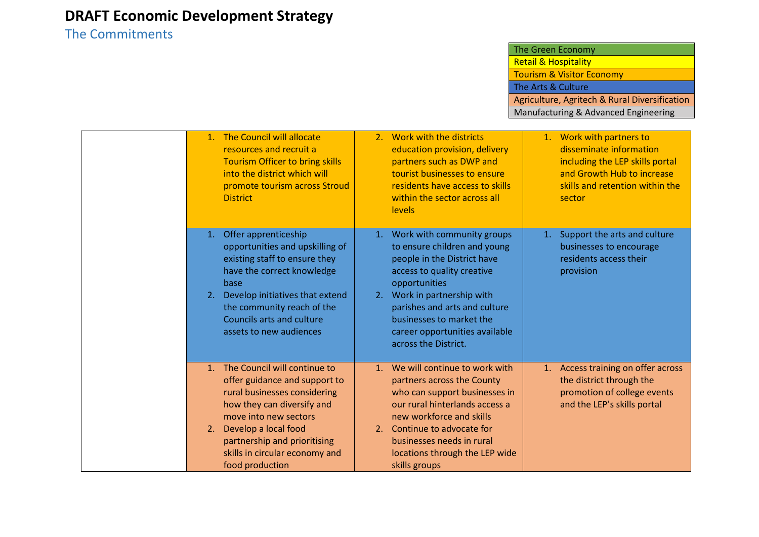### The Commitments

|                      | 1. The Council will allocate<br>resources and recruit a<br><b>Tourism Officer to bring skills</b><br>into the district which will<br>promote tourism across Stroud<br><b>District</b>                                                                             |          | 2. Work with the districts<br>education provision, delivery<br>partners such as DWP and<br>tourist businesses to ensure<br>residents have access to skills<br>within the sector across all<br><b>levels</b>                                                                                    |    | 1. Work with partners to<br>disseminate information<br>including the LEP skills portal<br>and Growth Hub to increase<br>skills and retention within the<br>sector |
|----------------------|-------------------------------------------------------------------------------------------------------------------------------------------------------------------------------------------------------------------------------------------------------------------|----------|------------------------------------------------------------------------------------------------------------------------------------------------------------------------------------------------------------------------------------------------------------------------------------------------|----|-------------------------------------------------------------------------------------------------------------------------------------------------------------------|
| 1.<br>2.             | Offer apprenticeship<br>opportunities and upskilling of<br>existing staff to ensure they<br>have the correct knowledge<br>base<br>Develop initiatives that extend<br>the community reach of the<br>Councils arts and culture<br>assets to new audiences           | 2.       | 1. Work with community groups<br>to ensure children and young<br>people in the District have<br>access to quality creative<br>opportunities<br>Work in partnership with<br>parishes and arts and culture<br>businesses to market the<br>career opportunities available<br>across the District. | 1. | Support the arts and culture<br>businesses to encourage<br>residents access their<br>provision                                                                    |
| 1 <sub>1</sub><br>2. | The Council will continue to<br>offer guidance and support to<br>rural businesses considering<br>how they can diversify and<br>move into new sectors<br>Develop a local food<br>partnership and prioritising<br>skills in circular economy and<br>food production | 1.<br>2. | We will continue to work with<br>partners across the County<br>who can support businesses in<br>our rural hinterlands access a<br>new workforce and skills<br>Continue to advocate for<br>businesses needs in rural<br>locations through the LEP wide<br>skills groups                         |    | 1. Access training on offer across<br>the district through the<br>promotion of college events<br>and the LEP's skills portal                                      |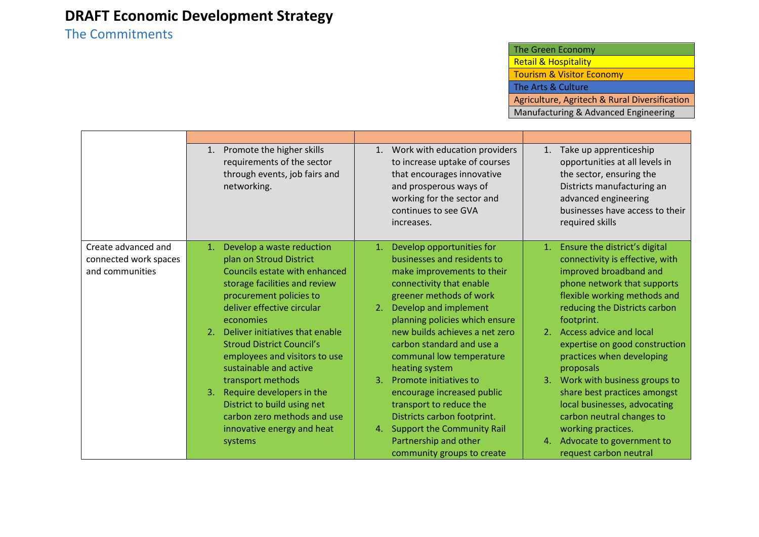### The Commitments

|                                                                 | Promote the higher skills<br>1.<br>requirements of the sector<br>through events, job fairs and<br>networking.                                                                                                                                                                                                                                                                                                                                                                                              | Work with education providers<br>1.<br>to increase uptake of courses<br>that encourages innovative<br>and prosperous ways of<br>working for the sector and<br>continues to see GVA<br>increases.                                                                                                                                                                                                                                                                                           | Take up apprenticeship<br>1.<br>opportunities at all levels in<br>the sector, ensuring the<br>Districts manufacturing an<br>advanced engineering<br>businesses have access to their<br>required skills                                                                                                                                                                                                                                                                         |
|-----------------------------------------------------------------|------------------------------------------------------------------------------------------------------------------------------------------------------------------------------------------------------------------------------------------------------------------------------------------------------------------------------------------------------------------------------------------------------------------------------------------------------------------------------------------------------------|--------------------------------------------------------------------------------------------------------------------------------------------------------------------------------------------------------------------------------------------------------------------------------------------------------------------------------------------------------------------------------------------------------------------------------------------------------------------------------------------|--------------------------------------------------------------------------------------------------------------------------------------------------------------------------------------------------------------------------------------------------------------------------------------------------------------------------------------------------------------------------------------------------------------------------------------------------------------------------------|
| Create advanced and<br>connected work spaces<br>and communities | Develop a waste reduction<br>1 <sub>1</sub><br>plan on Stroud District<br>Councils estate with enhanced<br>storage facilities and review<br>procurement policies to<br>deliver effective circular<br>economies<br>Deliver initiatives that enable<br>2.<br><b>Stroud District Council's</b><br>employees and visitors to use<br>sustainable and active<br>transport methods<br>3.<br>Require developers in the<br>District to build using net<br>carbon zero methods and use<br>innovative energy and heat | Develop opportunities for<br>1.<br>businesses and residents to<br>make improvements to their<br>connectivity that enable<br>greener methods of work<br>Develop and implement<br>2.<br>planning policies which ensure<br>new builds achieves a net zero<br>carbon standard and use a<br>communal low temperature<br>heating system<br>Promote initiatives to<br>3.<br>encourage increased public<br>transport to reduce the<br>Districts carbon footprint.<br>4. Support the Community Rail | Ensure the district's digital<br>1.<br>connectivity is effective, with<br>improved broadband and<br>phone network that supports<br>flexible working methods and<br>reducing the Districts carbon<br>footprint.<br>2. Access advice and local<br>expertise on good construction<br>practices when developing<br>proposals<br>3. Work with business groups to<br>share best practices amongst<br>local businesses, advocating<br>carbon neutral changes to<br>working practices. |
|                                                                 | systems                                                                                                                                                                                                                                                                                                                                                                                                                                                                                                    | Partnership and other<br>community groups to create                                                                                                                                                                                                                                                                                                                                                                                                                                        | Advocate to government to<br>4.<br>request carbon neutral                                                                                                                                                                                                                                                                                                                                                                                                                      |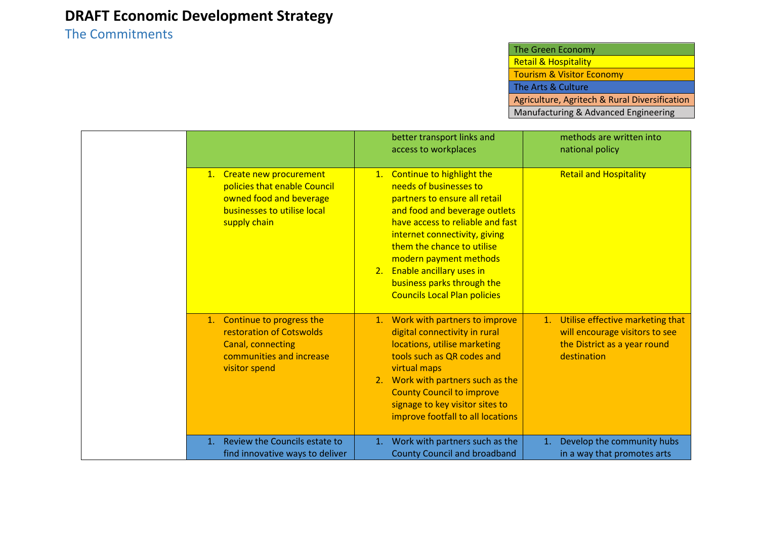### The Commitments

|                                                                                                                                     | better transport links and<br>access to workplaces                                                                                                                                                                                                                                                                                                        | methods are written into<br>national policy                                                                          |
|-------------------------------------------------------------------------------------------------------------------------------------|-----------------------------------------------------------------------------------------------------------------------------------------------------------------------------------------------------------------------------------------------------------------------------------------------------------------------------------------------------------|----------------------------------------------------------------------------------------------------------------------|
| 1. Create new procurement<br>policies that enable Council<br>owned food and beverage<br>businesses to utilise local<br>supply chain | 1. Continue to highlight the<br>needs of businesses to<br>partners to ensure all retail<br>and food and beverage outlets<br>have access to reliable and fast<br>internet connectivity, giving<br>them the chance to utilise<br>modern payment methods<br>2. Enable ancillary uses in<br>business parks through the<br><b>Councils Local Plan policies</b> | <b>Retail and Hospitality</b>                                                                                        |
| 1. Continue to progress the<br>restoration of Cotswolds<br>Canal, connecting<br>communities and increase<br>visitor spend           | 1. Work with partners to improve<br>digital connectivity in rural<br>locations, utilise marketing<br>tools such as QR codes and<br>virtual maps<br>2. Work with partners such as the<br><b>County Council to improve</b><br>signage to key visitor sites to<br>improve footfall to all locations                                                          | 1. Utilise effective marketing that<br>will encourage visitors to see<br>the District as a year round<br>destination |
| Review the Councils estate to<br>$\mathbf{1}$ .<br>find innovative ways to deliver                                                  | Work with partners such as the<br>1.<br><b>County Council and broadband</b>                                                                                                                                                                                                                                                                               | Develop the community hubs<br>1.<br>in a way that promotes arts                                                      |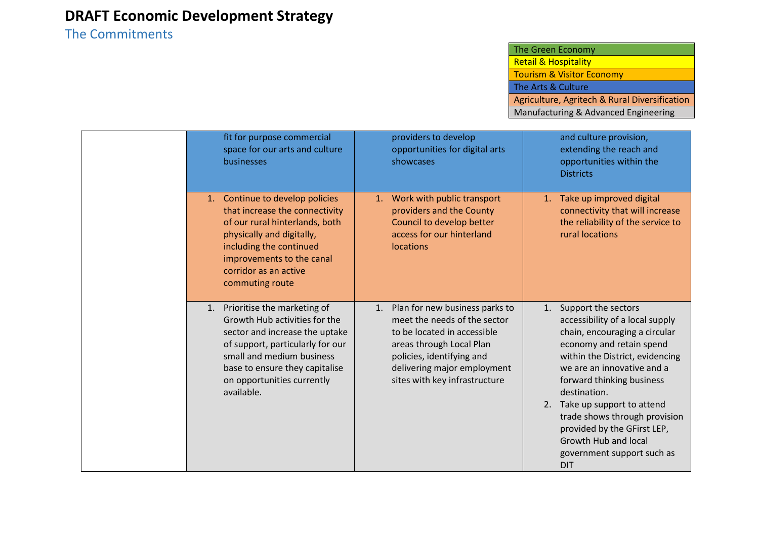### The Commitments

| fit for purpose commercial<br>space for our arts and culture<br>businesses                                                                                                                                                                          | providers to develop<br>opportunities for digital arts<br>showcases                                                                                                                                                          | and culture provision,<br>extending the reach and<br>opportunities within the<br><b>Districts</b>                                                                                                                                                                                                                                                                                                              |
|-----------------------------------------------------------------------------------------------------------------------------------------------------------------------------------------------------------------------------------------------------|------------------------------------------------------------------------------------------------------------------------------------------------------------------------------------------------------------------------------|----------------------------------------------------------------------------------------------------------------------------------------------------------------------------------------------------------------------------------------------------------------------------------------------------------------------------------------------------------------------------------------------------------------|
| 1. Continue to develop policies<br>that increase the connectivity<br>of our rural hinterlands, both<br>physically and digitally,<br>including the continued<br>improvements to the canal<br>corridor as an active<br>commuting route                | Work with public transport<br>1.<br>providers and the County<br>Council to develop better<br>access for our hinterland<br><b>locations</b>                                                                                   | Take up improved digital<br>1.<br>connectivity that will increase<br>the reliability of the service to<br>rural locations                                                                                                                                                                                                                                                                                      |
| Prioritise the marketing of<br>1.<br>Growth Hub activities for the<br>sector and increase the uptake<br>of support, particularly for our<br>small and medium business<br>base to ensure they capitalise<br>on opportunities currently<br>available. | Plan for new business parks to<br>1.<br>meet the needs of the sector<br>to be located in accessible<br>areas through Local Plan<br>policies, identifying and<br>delivering major employment<br>sites with key infrastructure | Support the sectors<br>1.<br>accessibility of a local supply<br>chain, encouraging a circular<br>economy and retain spend<br>within the District, evidencing<br>we are an innovative and a<br>forward thinking business<br>destination.<br>Take up support to attend<br>2.<br>trade shows through provision<br>provided by the GFirst LEP,<br>Growth Hub and local<br>government support such as<br><b>DIT</b> |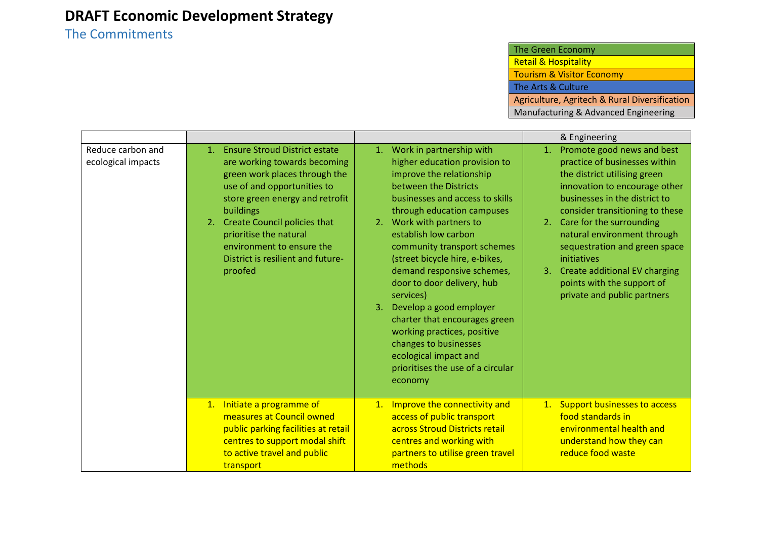## The Commitments

| The Green Economy                             |
|-----------------------------------------------|
| <b>Retail &amp; Hospitality</b>               |
| <b>Tourism &amp; Visitor Economy</b>          |
| The Arts & Culture                            |
| Agriculture, Agritech & Rural Diversification |
| Manufacturing & Advanced Engineering          |

|                                         |                                                                                                                                                                                                                                                                                                                                      |                                                                                                                                                                                                                                                                                                                                                                                                                                                                                                                                                                                     | & Engineering                                                                                                                                                                                                                                                                                                                                                                                                            |
|-----------------------------------------|--------------------------------------------------------------------------------------------------------------------------------------------------------------------------------------------------------------------------------------------------------------------------------------------------------------------------------------|-------------------------------------------------------------------------------------------------------------------------------------------------------------------------------------------------------------------------------------------------------------------------------------------------------------------------------------------------------------------------------------------------------------------------------------------------------------------------------------------------------------------------------------------------------------------------------------|--------------------------------------------------------------------------------------------------------------------------------------------------------------------------------------------------------------------------------------------------------------------------------------------------------------------------------------------------------------------------------------------------------------------------|
| Reduce carbon and<br>ecological impacts | <b>Ensure Stroud District estate</b><br>1.<br>are working towards becoming<br>green work places through the<br>use of and opportunities to<br>store green energy and retrofit<br>buildings<br>2. Create Council policies that<br>prioritise the natural<br>environment to ensure the<br>District is resilient and future-<br>proofed | Work in partnership with<br>1.<br>higher education provision to<br>improve the relationship<br>between the Districts<br>businesses and access to skills<br>through education campuses<br>2. Work with partners to<br>establish low carbon<br>community transport schemes<br>(street bicycle hire, e-bikes,<br>demand responsive schemes,<br>door to door delivery, hub<br>services)<br>3. Develop a good employer<br>charter that encourages green<br>working practices, positive<br>changes to businesses<br>ecological impact and<br>prioritises the use of a circular<br>economy | Promote good news and best<br>1.<br>practice of businesses within<br>the district utilising green<br>innovation to encourage other<br>businesses in the district to<br>consider transitioning to these<br>Care for the surrounding<br>2.<br>natural environment through<br>sequestration and green space<br>initiatives<br>3. Create additional EV charging<br>points with the support of<br>private and public partners |
|                                         | 1. Initiate a programme of<br>measures at Council owned<br>public parking facilities at retail<br>centres to support modal shift<br>to active travel and public<br>transport                                                                                                                                                         | 1. Improve the connectivity and<br>access of public transport<br>across Stroud Districts retail<br>centres and working with<br>partners to utilise green travel<br>methods                                                                                                                                                                                                                                                                                                                                                                                                          | 1. Support businesses to access<br>food standards in<br>environmental health and<br>understand how they can<br>reduce food waste                                                                                                                                                                                                                                                                                         |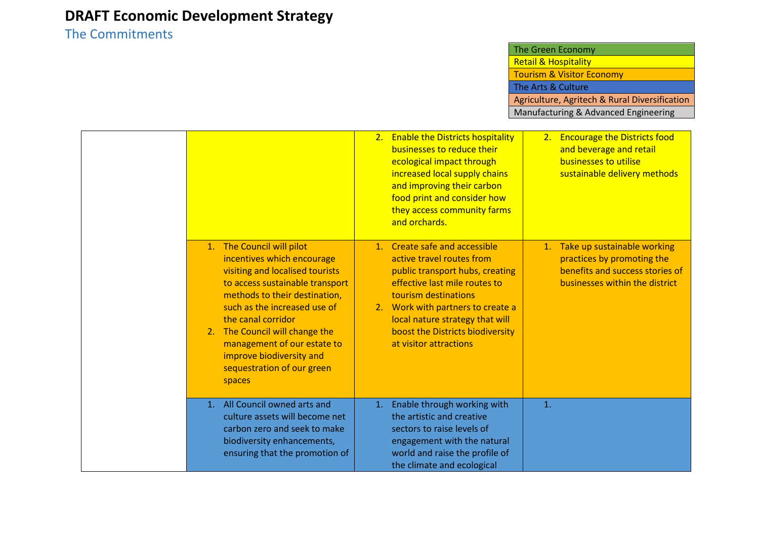## The Commitments

| The Green Economy                             |
|-----------------------------------------------|
| <b>Retail &amp; Hospitality</b>               |
| <b>Tourism &amp; Visitor Economy</b>          |
| The Arts & Culture                            |
| Agriculture, Agritech & Rural Diversification |
| Manufacturing & Advanced Engineering          |

|                                                                                                                                                                                                                                                                                                                                                           | 2. Enable the Districts hospitality<br>businesses to reduce their<br>ecological impact through<br>increased local supply chains<br>and improving their carbon<br>food print and consider how<br>they access community farms<br>and orchards.                                                 | <b>Encourage the Districts food</b><br>2.<br>and beverage and retail<br>businesses to utilise<br>sustainable delivery methods     |
|-----------------------------------------------------------------------------------------------------------------------------------------------------------------------------------------------------------------------------------------------------------------------------------------------------------------------------------------------------------|----------------------------------------------------------------------------------------------------------------------------------------------------------------------------------------------------------------------------------------------------------------------------------------------|-----------------------------------------------------------------------------------------------------------------------------------|
| 1. The Council will pilot<br>incentives which encourage<br>visiting and localised tourists<br>to access sustainable transport<br>methods to their destination,<br>such as the increased use of<br>the canal corridor<br>2. The Council will change the<br>management of our estate to<br>improve biodiversity and<br>sequestration of our green<br>spaces | 1. Create safe and accessible<br>active travel routes from<br>public transport hubs, creating<br>effective last mile routes to<br>tourism destinations<br>2. Work with partners to create a<br>local nature strategy that will<br>boost the Districts biodiversity<br>at visitor attractions | 1. Take up sustainable working<br>practices by promoting the<br>benefits and success stories of<br>businesses within the district |
| 1. All Council owned arts and<br>culture assets will become net<br>carbon zero and seek to make<br>biodiversity enhancements,<br>ensuring that the promotion of                                                                                                                                                                                           | Enable through working with<br>1.<br>the artistic and creative<br>sectors to raise levels of<br>engagement with the natural<br>world and raise the profile of<br>the climate and ecological                                                                                                  | 1.                                                                                                                                |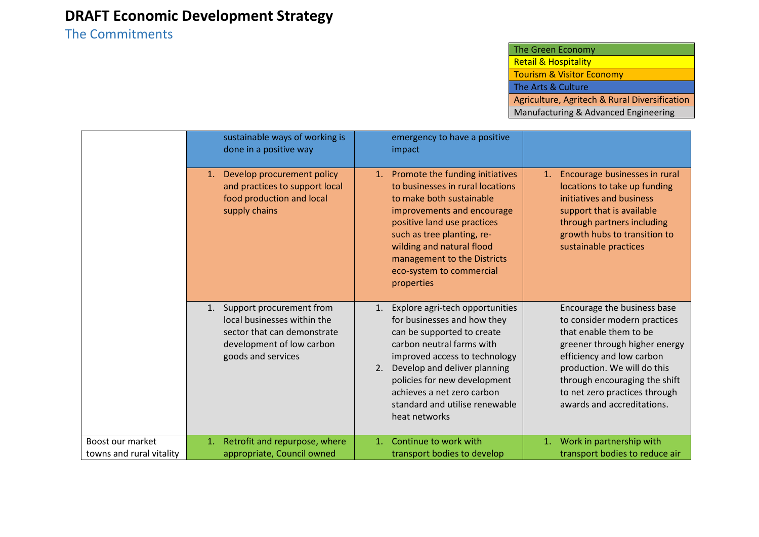### The Commitments

|                                              | sustainable ways of working is<br>done in a positive way                                                                                        | emergency to have a positive<br>impact                                                                                                                                                                                                                                                                                  |                                                                                                                                                                                                                                                                                    |
|----------------------------------------------|-------------------------------------------------------------------------------------------------------------------------------------------------|-------------------------------------------------------------------------------------------------------------------------------------------------------------------------------------------------------------------------------------------------------------------------------------------------------------------------|------------------------------------------------------------------------------------------------------------------------------------------------------------------------------------------------------------------------------------------------------------------------------------|
|                                              | Develop procurement policy<br>1.<br>and practices to support local<br>food production and local<br>supply chains                                | Promote the funding initiatives<br>1.<br>to businesses in rural locations<br>to make both sustainable<br>improvements and encourage<br>positive land use practices<br>such as tree planting, re-<br>wilding and natural flood<br>management to the Districts<br>eco-system to commercial<br>properties                  | Encourage businesses in rural<br>1.<br>locations to take up funding<br>initiatives and business<br>support that is available<br>through partners including<br>growth hubs to transition to<br>sustainable practices                                                                |
|                                              | Support procurement from<br>1.<br>local businesses within the<br>sector that can demonstrate<br>development of low carbon<br>goods and services | Explore agri-tech opportunities<br>1.<br>for businesses and how they<br>can be supported to create<br>carbon neutral farms with<br>improved access to technology<br>Develop and deliver planning<br>2.<br>policies for new development<br>achieves a net zero carbon<br>standard and utilise renewable<br>heat networks | Encourage the business base<br>to consider modern practices<br>that enable them to be<br>greener through higher energy<br>efficiency and low carbon<br>production. We will do this<br>through encouraging the shift<br>to net zero practices through<br>awards and accreditations. |
| Boost our market<br>towns and rural vitality | Retrofit and repurpose, where<br>1.<br>appropriate, Council owned                                                                               | Continue to work with<br>1.<br>transport bodies to develop                                                                                                                                                                                                                                                              | Work in partnership with<br>1.<br>transport bodies to reduce air                                                                                                                                                                                                                   |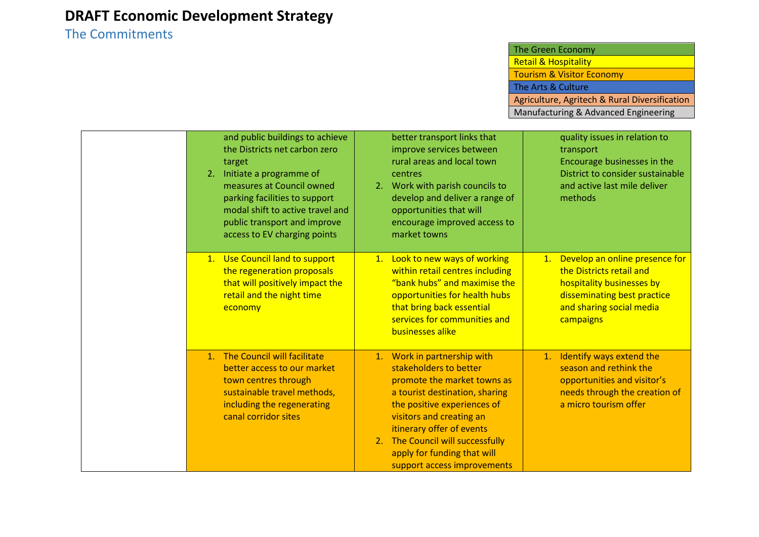## The Commitments

| The Green Economy                             |
|-----------------------------------------------|
| <b>Retail &amp; Hospitality</b>               |
| <b>Tourism &amp; Visitor Economy</b>          |
| The Arts & Culture                            |
| Agriculture, Agritech & Rural Diversification |
| Manufacturing & Advanced Engineering          |

| and public buildings to achieve<br>the Districts net carbon zero<br>target<br>2. Initiate a programme of<br>measures at Council owned<br>parking facilities to support<br>modal shift to active travel and<br>public transport and improve<br>access to EV charging points | better transport links that<br>improve services between<br>rural areas and local town<br>centres<br>Work with parish councils to<br>2.<br>develop and deliver a range of<br>opportunities that will<br>encourage improved access to<br>market towns                                                              | quality issues in relation to<br>transport<br>Encourage businesses in the<br>District to consider sustainable<br>and active last mile deliver<br>methods              |
|----------------------------------------------------------------------------------------------------------------------------------------------------------------------------------------------------------------------------------------------------------------------------|------------------------------------------------------------------------------------------------------------------------------------------------------------------------------------------------------------------------------------------------------------------------------------------------------------------|-----------------------------------------------------------------------------------------------------------------------------------------------------------------------|
| 1. Use Council land to support<br>the regeneration proposals<br>that will positively impact the<br>retail and the night time<br>economy                                                                                                                                    | 1. Look to new ways of working<br>within retail centres including<br>"bank hubs" and maximise the<br>opportunities for health hubs<br>that bring back essential<br>services for communities and<br>businesses alike                                                                                              | Develop an online presence for<br>1.<br>the Districts retail and<br>hospitality businesses by<br>disseminating best practice<br>and sharing social media<br>campaigns |
| 1. The Council will facilitate<br>better access to our market<br>town centres through<br>sustainable travel methods,<br>including the regenerating<br>canal corridor sites                                                                                                 | 1. Work in partnership with<br>stakeholders to better<br>promote the market towns as<br>a tourist destination, sharing<br>the positive experiences of<br>visitors and creating an<br>itinerary offer of events<br>2. The Council will successfully<br>apply for funding that will<br>support access improvements | Identify ways extend the<br>1.<br>season and rethink the<br>opportunities and visitor's<br>needs through the creation of<br>a micro tourism offer                     |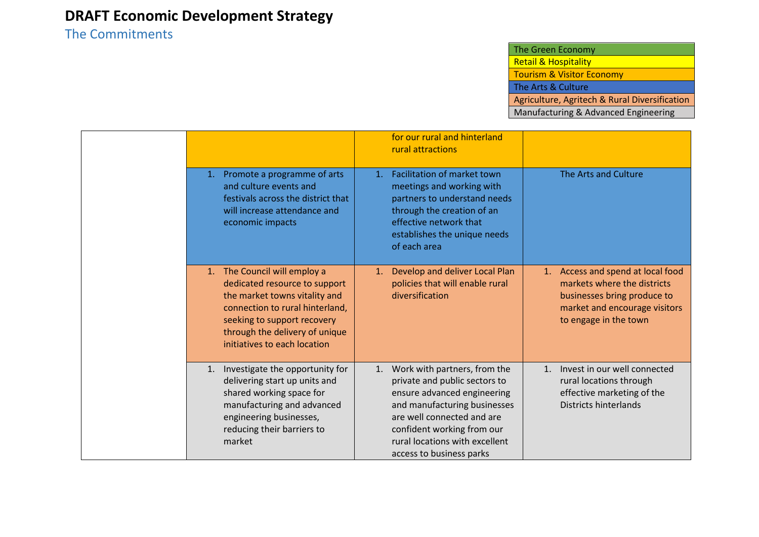### The Commitments

|    |                                                                                                                                                                                                                                    |    | for our rural and hinterland<br>rural attractions                                                                                                                                                                                                         |    |                                                                                                                                                        |
|----|------------------------------------------------------------------------------------------------------------------------------------------------------------------------------------------------------------------------------------|----|-----------------------------------------------------------------------------------------------------------------------------------------------------------------------------------------------------------------------------------------------------------|----|--------------------------------------------------------------------------------------------------------------------------------------------------------|
| 1. | Promote a programme of arts<br>and culture events and<br>festivals across the district that<br>will increase attendance and<br>economic impacts                                                                                    | 1. | Facilitation of market town<br>meetings and working with<br>partners to understand needs<br>through the creation of an<br>effective network that<br>establishes the unique needs<br>of each area                                                          |    | The Arts and Culture                                                                                                                                   |
|    | 1. The Council will employ a<br>dedicated resource to support<br>the market towns vitality and<br>connection to rural hinterland,<br>seeking to support recovery<br>through the delivery of unique<br>initiatives to each location | 1. | Develop and deliver Local Plan<br>policies that will enable rural<br>diversification                                                                                                                                                                      | 1. | Access and spend at local food<br>markets where the districts<br>businesses bring produce to<br>market and encourage visitors<br>to engage in the town |
|    | 1. Investigate the opportunity for<br>delivering start up units and<br>shared working space for<br>manufacturing and advanced<br>engineering businesses,<br>reducing their barriers to<br>market                                   |    | 1. Work with partners, from the<br>private and public sectors to<br>ensure advanced engineering<br>and manufacturing businesses<br>are well connected and are<br>confident working from our<br>rural locations with excellent<br>access to business parks | 1. | Invest in our well connected<br>rural locations through<br>effective marketing of the<br>Districts hinterlands                                         |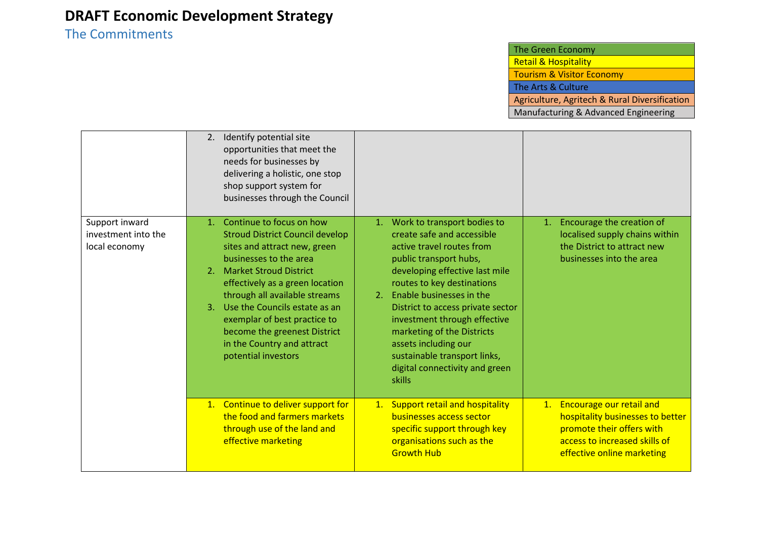### The Commitments

|                                                        | Identify potential site<br>2.<br>opportunities that meet the<br>needs for businesses by<br>delivering a holistic, one stop<br>shop support system for<br>businesses through the Council                                                                                                                                                                                                                |                                                                                                                                                                                                                                                                                                                                                                                                                           |                                                                                                                                                             |
|--------------------------------------------------------|--------------------------------------------------------------------------------------------------------------------------------------------------------------------------------------------------------------------------------------------------------------------------------------------------------------------------------------------------------------------------------------------------------|---------------------------------------------------------------------------------------------------------------------------------------------------------------------------------------------------------------------------------------------------------------------------------------------------------------------------------------------------------------------------------------------------------------------------|-------------------------------------------------------------------------------------------------------------------------------------------------------------|
| Support inward<br>investment into the<br>local economy | 1. Continue to focus on how<br><b>Stroud District Council develop</b><br>sites and attract new, green<br>businesses to the area<br><b>Market Stroud District</b><br>2.<br>effectively as a green location<br>through all available streams<br>Use the Councils estate as an<br>3.<br>exemplar of best practice to<br>become the greenest District<br>in the Country and attract<br>potential investors | 1. Work to transport bodies to<br>create safe and accessible<br>active travel routes from<br>public transport hubs,<br>developing effective last mile<br>routes to key destinations<br>2. Enable businesses in the<br>District to access private sector<br>investment through effective<br>marketing of the Districts<br>assets including our<br>sustainable transport links,<br>digital connectivity and green<br>skills | Encourage the creation of<br>1.<br>localised supply chains within<br>the District to attract new<br>businesses into the area                                |
|                                                        | 1. Continue to deliver support for<br>the food and farmers markets<br>through use of the land and<br>effective marketing                                                                                                                                                                                                                                                                               | 1. Support retail and hospitality<br>businesses access sector<br>specific support through key<br>organisations such as the<br><b>Growth Hub</b>                                                                                                                                                                                                                                                                           | 1. Encourage our retail and<br>hospitality businesses to better<br>promote their offers with<br>access to increased skills of<br>effective online marketing |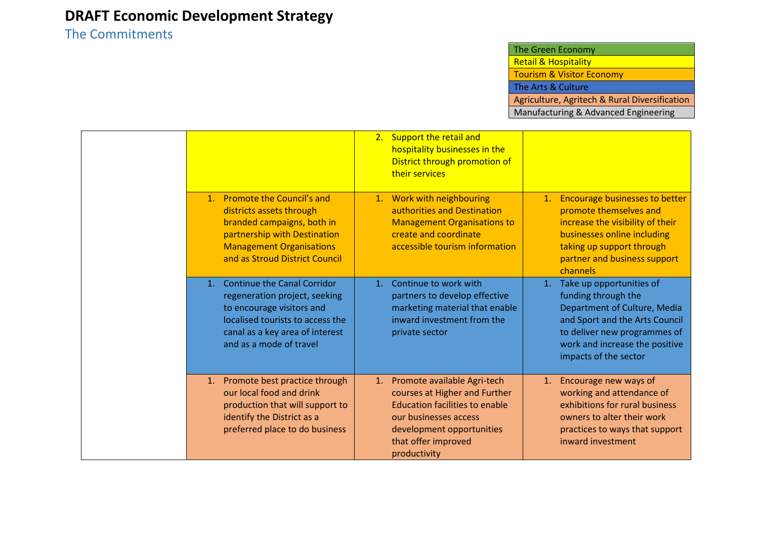### The Commitments

|                                                                                                                                                                                                    | 2. Support the retail and<br>hospitality businesses in the<br>District through promotion of<br>their services                                                                                         |                                                                                                                                                                                                                    |
|----------------------------------------------------------------------------------------------------------------------------------------------------------------------------------------------------|-------------------------------------------------------------------------------------------------------------------------------------------------------------------------------------------------------|--------------------------------------------------------------------------------------------------------------------------------------------------------------------------------------------------------------------|
| 1. Promote the Council's and<br>districts assets through<br>branded campaigns, both in<br>partnership with Destination<br><b>Management Organisations</b><br>and as Stroud District Council        | 1. Work with neighbouring<br>authorities and Destination<br><b>Management Organisations to</b><br>create and coordinate<br>accessible tourism information                                             | <b>Encourage businesses to better</b><br>1.<br>promote themselves and<br>increase the visibility of their<br>businesses online including<br>taking up support through<br>partner and business support<br>channels  |
| <b>Continue the Canal Corridor</b><br>regeneration project, seeking<br>to encourage visitors and<br>localised tourists to access the<br>canal as a key area of interest<br>and as a mode of travel | Continue to work with<br>1.<br>partners to develop effective<br>marketing material that enable<br>inward investment from the<br>private sector                                                        | Take up opportunities of<br>1.<br>funding through the<br>Department of Culture, Media<br>and Sport and the Arts Council<br>to deliver new programmes of<br>work and increase the positive<br>impacts of the sector |
| 1. Promote best practice through<br>our local food and drink<br>production that will support to<br>identify the District as a<br>preferred place to do business                                    | 1. Promote available Agri-tech<br>courses at Higher and Further<br><b>Education facilities to enable</b><br>our businesses access<br>development opportunities<br>that offer improved<br>productivity | Encourage new ways of<br>1.<br>working and attendance of<br>exhibitions for rural business<br>owners to alter their work<br>practices to ways that support<br>inward investment                                    |